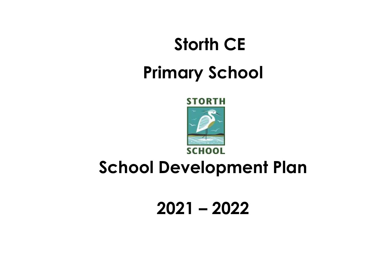# **Storth CE Primary School**



## **School Development Plan**

**2021 – 2022**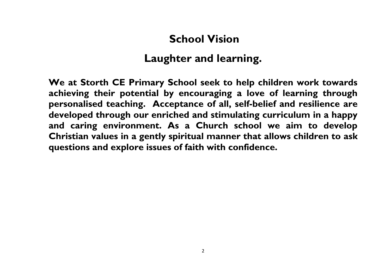### **School Vision**

## **Laughter and learning.**

**We at Storth CE Primary School seek to help children work towards achieving their potential by encouraging a love of learning through personalised teaching. Acceptance of all, self-belief and resilience are developed through our enriched and stimulating curriculum in a happy and caring environment. As a Church school we aim to develop Christian values in a gently spiritual manner that allows children to ask questions and explore issues of faith with confidence.**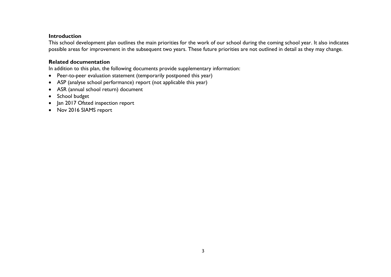#### **Introduction**

This school development plan outlines the main priorities for the work of our school during the coming school year. It also indicates possible areas for improvement in the subsequent two years. These future priorities are not outlined in detail as they may change.

#### **Related documentation**

In addition to this plan, the following documents provide supplementary information:

- Peer-to-peer evaluation statement (temporarily postponed this year)
- ASP (analyse school performance) report (not applicable this year)
- ASR (annual school return) document
- School budget
- Jan 2017 Ofsted inspection report
- Nov 2016 SIAMS report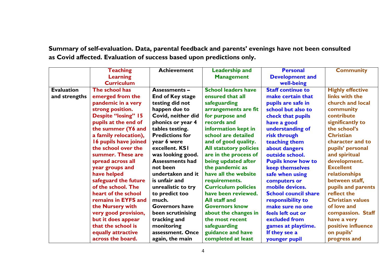**Summary of self-evaluation. Data, parental feedback and parents' evenings have not been consulted as Covid affected. Evaluation of success based upon predictions only.**

|                   | <b>Teaching</b>            | <b>Achievement</b>      | <b>Leadership and</b>         | <b>Personal</b>             | <b>Community</b>        |
|-------------------|----------------------------|-------------------------|-------------------------------|-----------------------------|-------------------------|
|                   | <b>Learning</b>            |                         | <b>Management</b>             | <b>Development and</b>      |                         |
|                   | <b>Curriculum</b>          |                         |                               | well-being                  |                         |
| <b>Evaluation</b> | The school has             | <b>Assessments -</b>    | <b>School leaders have</b>    | <b>Staff continue to</b>    | <b>Highly effective</b> |
| and strengths     | emerged from the           | <b>End of Key stage</b> | ensured that all              | make certain that           | links with the          |
|                   | pandemic in a very         | testing did not         | safeguarding                  | pupils are safe in          | church and local        |
|                   | strong position.           | happen due to           | arrangements are fit          | school but also to          | community               |
|                   | <b>Despite "losing" 15</b> | Covid, neither did      | for purpose and               | check that pupils           | contribute              |
|                   | pupils at the end of       | phonics or year 4       | records and                   | have a good                 | significantly to        |
|                   | the summer (Y6 and         | tables testing.         | information kept in           | understanding of            | the school's            |
|                   | a family relocation),      | <b>Predictions for</b>  | school are detailed           | risk through                | <b>Christian</b>        |
|                   | 16 pupils have joined      | year 6 were             | and of good quality.          | teaching them               | character and to        |
|                   | the school over the        | excellent. KSI          | <b>All statutory policies</b> | about dangers               | pupils' personal        |
|                   | summer. These are          | was looking good.       | are in the process of         | outside school.             | and spiritual           |
|                   | spread across all          | <b>Assessments had</b>  | being updated after           | <b>Pupils know how to</b>   | development.            |
|                   | year groups and            | not been                | the pandemic as               | <b>keep themselves</b>      | <b>Excellent</b>        |
|                   | have helped                | undertaken and it       | have all the website          | safe when using             | relationships           |
|                   | safeguard the future       | is unfair and           | requirements.                 | computers or                | between staff,          |
|                   | of the school. The         | unrealistic to try      | <b>Curriculum policies</b>    | mobile devices.             | pupils and parents      |
|                   | heart of the school        | to predict too          | have been reviewed.           | <b>School council share</b> | reflect the             |
|                   | remains in EYFS and        | much.                   | All staff and                 | responsibility to           | <b>Christian values</b> |
|                   | the Nursery with           | <b>Governors have</b>   | <b>Governors know</b>         | make sure no one            | of love and             |
|                   | very good provision,       | been scrutinising       | about the changes in          | feels left out or           | compassion. Staff       |
|                   | but it does appear         | tracking and            | the most recent               | excluded from               | have a very             |
|                   | that the school is         | monitoring              | safeguarding                  | games at playtime.          | positive influence      |
|                   | equally attractive         | assessment. Once        | guidance and have             | If they see a               | on pupils'              |
|                   | across the board.          | again, the main         | completed at least            | younger pupil               | progress and            |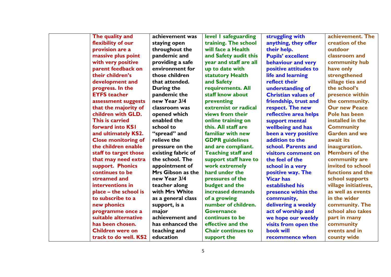| The quality and            | achievement was    | level I safeguarding      | struggling with            | achievement. The      |
|----------------------------|--------------------|---------------------------|----------------------------|-----------------------|
| flexibility of our         | staying open       | training. The school      | anything, they offer       | creation of the       |
| provision are a            | throughout the     | will face a Health        | their help.                | outdoor               |
| massive plus point         | pandemic and       | and Safety audit this     | <b>Pupils' excellent</b>   | classroom and         |
| with very positive         | providing a safe   | year and staff are all    | behaviour and very         | community hub         |
| parent feedback on         | environment for    | up to date with           | positive attitudes to      | have only             |
| their children's           | those children     | statutory Health          | life and learning          | strengthened          |
| development and            | that attended.     | and Safety                | reflect their              | village ties and      |
| progress. In the           | During the         | requirements. All         | understanding of           | the school's          |
| <b>EYFS</b> teacher        | pandemic the       | staff know about          | <b>Christian values of</b> | presence within       |
| assessment suggests        | new Year 3/4       | preventing                | friendship, trust and      | the community.        |
| that the majority of       | classroom was      | extremist or radical      | respect. The new           | <b>Our new Peace</b>  |
| children with GLD.         | opened which       | views from their          | reflective area helps      | Pole has been         |
| This is carried            | enabled the        | online training on        | support mental             | installed in the      |
| forward into KSI           | school to          | this. All staff are       | wellbeing and has          | <b>Community</b>      |
| and ultimately KS2.        | "spread" and       | familiar with new         | been a very positive       | <b>Garden and we</b>  |
| <b>Close monitoring of</b> | relieve the        | <b>GDPR</b> guidelines    | addition to the            | await its             |
| the children enable        | pressure on the    | and are compliant.        | school. Parents and        | inauguration.         |
| staff to target those      | existing fabric of | <b>Teaching staff and</b> | visitors comment on        | <b>Members of the</b> |
| that may need extra        | the school. The    | support staff have to     | the feel of the            | community are         |
| support. Phonics           | appointment of     | work extremely            | school in a very           | invited to school     |
| continues to be            | Mrs Gibson as the  | hard under the            | positive way. The          | functions and the     |
| streamed and               | new Year 3/4       | pressures of the          | <b>Vicar has</b>           | school supports       |
| interventions in           | teacher along      | budget and the            | established his            | village initiatives,  |
| place – the school is      | with Mrs White     | increased demands         | presence within the        | as well as events     |
| to subscribe to a          | as a general class | of a growing              | community,                 | in the wider          |
| new phonics                | support, is a      | number of children.       | delivering a weekly        | community. The        |
| programme once a           | major              | <b>Governance</b>         | act of worship and         | school also takes     |
| suitable alternative       | achievement and    | continues to be           | we hope our weekly         | part in many          |
| has been chosen.           | has enhanced the   | effective and the         | visits from open the       | community             |
| <b>Children were on</b>    | teaching and       | <b>Chair continues to</b> | <b>book will</b>           | events and in         |
| track to do well. KS2      | education          | support the               | recommence when            | county wide           |
|                            |                    |                           |                            |                       |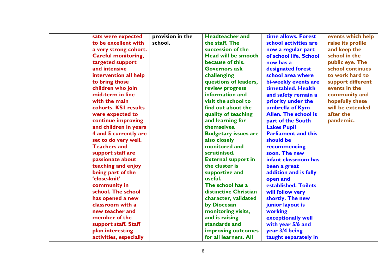| sats were expected         | provision in the | <b>Headteacher and</b>      | time allows. Forest         | events which help |
|----------------------------|------------------|-----------------------------|-----------------------------|-------------------|
| to be excellent with       | school.          | the staff. The              | school activities are       | raise its profile |
| a very strong cohort.      |                  | succession of the           | now a regular part          | and keep the      |
| <b>Careful monitoring,</b> |                  | <b>Head will be smooth</b>  | of school life. School      | school in the     |
| targeted support           |                  | because of this.            | now has a                   | public eye. The   |
| and intensive              |                  | <b>Governors ask</b>        | designated forest           | school continues  |
| intervention all help      |                  | challenging                 | school area where           | to work hard to   |
| to bring those             |                  | questions of leaders,       | bi-weekly events are        | support different |
| children who join          |                  | review progress             | timetabled. Health          | events in the     |
| mid-term in line           |                  | information and             | and safety remain a         | community and     |
| with the main              |                  | visit the school to         | priority under the          | hopefully these   |
| cohorts. KSI results       |                  | find out about the          | umbrella of Kym             | will be extended  |
| were expected to           |                  | quality of teaching         | <b>Allen. The school is</b> | after the         |
| continue improving         |                  | and learning for            | part of the South           | pandemic.         |
| and children in years      |                  | themselves.                 | <b>Lakes Pupil</b>          |                   |
| 4 and 5 currently are      |                  | <b>Budgetary issues are</b> | <b>Parliament and this</b>  |                   |
| set to do very well.       |                  | also closely                | should be                   |                   |
| <b>Teachers and</b>        |                  | monitored and               | recommencing                |                   |
| support staff are          |                  | scrutinised.                | soon. The new               |                   |
| passionate about           |                  | <b>External support in</b>  | infant classroom has        |                   |
| teaching and enjoy         |                  | the cluster is              | been a great                |                   |
| being part of the          |                  | supportive and              | addition and is fully       |                   |
| 'close-knit'               |                  | useful.                     | open and                    |                   |
| community in               |                  | The school has a            | established. Toilets        |                   |
| school. The school         |                  | distinctive Christian       | will follow very            |                   |
| has opened a new           |                  | character, validated        | shortly. The new            |                   |
| classroom with a           |                  | by Diocesan                 | junior layout is            |                   |
| new teacher and            |                  | monitoring visits,          | working                     |                   |
| member of the              |                  | and is raising              | exceptionally well          |                   |
| support staff. Staff       |                  | standards and               | with year 5/6 and           |                   |
| plan interesting           |                  | improving outcomes          | year 3/4 being              |                   |
| activities, especially     |                  | for all learners. All       | taught separately in        |                   |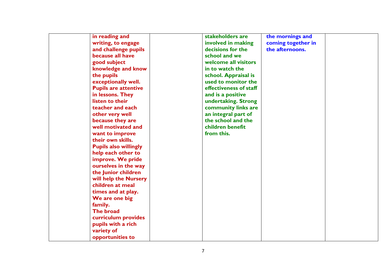| in reading and               | stakeholders are       | the mornings and   |  |
|------------------------------|------------------------|--------------------|--|
| writing, to engage           | involved in making     | coming together in |  |
| and challenge pupils         | decisions for the      | the afternoons.    |  |
| because all have             | school and we          |                    |  |
| good subject                 | welcome all visitors   |                    |  |
| knowledge and know           | in to watch the        |                    |  |
| the pupils                   | school. Appraisal is   |                    |  |
| exceptionally well.          | used to monitor the    |                    |  |
| <b>Pupils are attentive</b>  | effectiveness of staff |                    |  |
| in lessons. They             | and is a positive      |                    |  |
| listen to their              | undertaking. Strong    |                    |  |
| teacher and each             | community links are    |                    |  |
| other very well              | an integral part of    |                    |  |
| because they are             | the school and the     |                    |  |
| well motivated and           | children benefit       |                    |  |
| want to improve              | from this.             |                    |  |
| their own skills.            |                        |                    |  |
| <b>Pupils also willingly</b> |                        |                    |  |
| help each other to           |                        |                    |  |
| improve. We pride            |                        |                    |  |
| ourselves in the way         |                        |                    |  |
| the Junior children          |                        |                    |  |
| will help the Nursery        |                        |                    |  |
| children at meal             |                        |                    |  |
| times and at play.           |                        |                    |  |
| We are one big               |                        |                    |  |
| family.                      |                        |                    |  |
| The broad                    |                        |                    |  |
| curriculum provides          |                        |                    |  |
| pupils with a rich           |                        |                    |  |
| variety of                   |                        |                    |  |
| opportunities to             |                        |                    |  |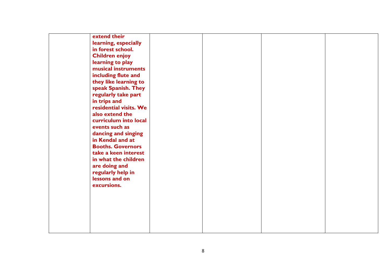| extend their             |  |  |
|--------------------------|--|--|
| learning, especially     |  |  |
| in forest school.        |  |  |
| <b>Children enjoy</b>    |  |  |
| learning to play         |  |  |
| musical instruments      |  |  |
| including flute and      |  |  |
| they like learning to    |  |  |
| speak Spanish. They      |  |  |
| regularly take part      |  |  |
| in trips and             |  |  |
| residential visits. We   |  |  |
| also extend the          |  |  |
| curriculum into local    |  |  |
| events such as           |  |  |
| dancing and singing      |  |  |
| in Kendal and at         |  |  |
| <b>Booths. Governors</b> |  |  |
| take a keen interest     |  |  |
| in what the children     |  |  |
| are doing and            |  |  |
| regularly help in        |  |  |
| lessons and on           |  |  |
| excursions.              |  |  |
|                          |  |  |
|                          |  |  |
|                          |  |  |
|                          |  |  |
|                          |  |  |
|                          |  |  |
|                          |  |  |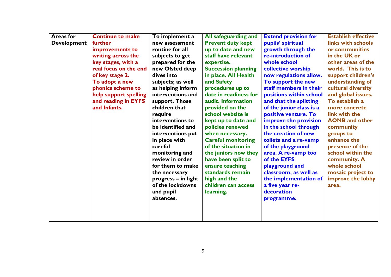| <b>Areas for</b>   | <b>Continue to make</b> | To implement a      | All safeguarding and       | <b>Extend provision for</b> | <b>Establish effective</b> |
|--------------------|-------------------------|---------------------|----------------------------|-----------------------------|----------------------------|
| <b>Development</b> | further                 | new assessment      | <b>Prevent duty kept</b>   | pupils' spiritual           | links with schools         |
|                    | improvements to         | routine for all     | up to date and new         | growth through the          | or communities             |
|                    | writing across the      | subjects to get     | staff have relevant        | re-introduction of          | in the UK or               |
|                    | key stages, with a      | prepared for the    | expertise.                 | whole school                | other areas of the         |
|                    | real focus on the end   | new Ofsted deep     | <b>Succession planning</b> | collective worship          | world. This is to          |
|                    | of key stage 2.         | dives into          | in place. All Health       | now regulations allow.      | support children's         |
|                    | To adopt a new          | subjects; as well   | and Safety                 | To support the new          | understanding of           |
|                    | phonics scheme to       | as helping inform   | procedures up to           | staff members in their      | cultural diversity         |
|                    | help support spelling   | interventions and   | date in readiness for      | positions within school     | and global issues.         |
|                    | and reading in EYFS     | support. Those      | audit. Information         | and that the splitting      | To establish a             |
|                    | and Infants.            | children that       | provided on the            | of the junior class is a    | more concrete              |
|                    |                         | require             | school website is          | positive venture. To        | link with the              |
|                    |                         | interventions to    | kept up to date and        | improve the provision       | <b>AONB</b> and other      |
|                    |                         | be identified and   | policies renewed           | in the school through       | community                  |
|                    |                         | interventions put   | when necessary.            | the creation of new         | groups to                  |
|                    |                         | in place with       | <b>Careful monitoring</b>  | toilets and a re-vamp       | enhance the                |
|                    |                         | careful             | of the situation in        | of the playground           | presence of the            |
|                    |                         | monitoring and      | the juniors now they       | area. A re-vamp too         | school within the          |
|                    |                         | review in order     | have been split to         | of the EYFS                 | community. A               |
|                    |                         | for them to make    | ensure teaching            | playground and              | whole school               |
|                    |                         | the necessary       | standards remain           | classroom, as well as       | mosaic project to          |
|                    |                         | progress - in light | high and the               | the implementation of       | improve the lobby          |
|                    |                         | of the lockdowns    | children can access        | a five year re-             | area.                      |
|                    |                         | and pupil           | learning.                  | decoration                  |                            |
|                    |                         | absences.           |                            | programme.                  |                            |
|                    |                         |                     |                            |                             |                            |
|                    |                         |                     |                            |                             |                            |
|                    |                         |                     |                            |                             |                            |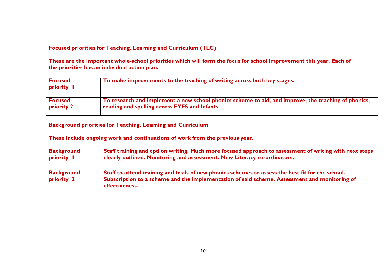#### **Focused priorities for Teaching, Learning and Curriculum (TLC)**

**These are the important whole-school priorities which will form the focus for school improvement this year. Each of the priorities has an individual action plan.** 

| <b>Focused</b><br>priority I | To make improvements to the teaching of writing across both key stages.                             |
|------------------------------|-----------------------------------------------------------------------------------------------------|
| <b>Focused</b>               | To research and implement a new school phonics scheme to aid, and improve, the teaching of phonics, |
| <b>priority 2</b>            | reading and spelling across EYFS and Infants.                                                       |

#### **Background priorities for Teaching, Learning and Curriculum**

| <b>Background</b> | Staff training and cpd on writing. Much more focused approach to assessment of writing with next steps |
|-------------------|--------------------------------------------------------------------------------------------------------|
| priority I        | clearly outlined. Monitoring and assessment. New Literacy co-ordinators.                               |
|                   |                                                                                                        |

| Background        | Staff to attend training and trials of new phonics schemes to assess the best fit for the school. |
|-------------------|---------------------------------------------------------------------------------------------------|
| <b>priority 2</b> | Subscription to a scheme and the implementation of said scheme. Assessment and monitoring of      |
|                   | effectiveness.                                                                                    |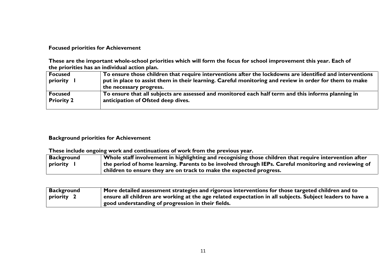**Focused priorities for Achievement**

**These are the important whole-school priorities which will form the focus for school improvement this year. Each of the priorities has an individual action plan.** 

| Focused    | To ensure those children that require interventions after the lockdowns are identified and interventions |
|------------|----------------------------------------------------------------------------------------------------------|
| priority   | put in place to assist them in their learning. Careful monitoring and review in order for them to make   |
|            | the necessary progress.                                                                                  |
| Focused    | To ensure that all subjects are assessed and monitored each half term and this informs planning in       |
| Priority 2 | anticipation of Ofsted deep dives.                                                                       |
|            |                                                                                                          |

#### **Background priorities for Achievement**

| <b>Background</b> | Whole staff involvement in highlighting and recognising those children that require intervention after |
|-------------------|--------------------------------------------------------------------------------------------------------|
| priority          | the period of home learning. Parents to be involved through IEPs. Careful monitoring and reviewing of  |
|                   | children to ensure they are on track to make the expected progress.                                    |

| <b>Background</b> | More detailed assessment strategies and rigorous interventions for those targeted children and to                 |
|-------------------|-------------------------------------------------------------------------------------------------------------------|
| priority 2        | $\perp$ ensure all children are working at the age related expectation in all subjects. Subject leaders to have a |
|                   | good understanding of progression in their fields.                                                                |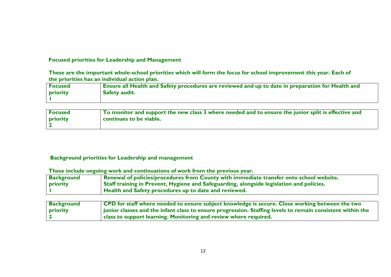#### **Focused priorities for Leadership and Management**

**These are the important whole-school priorities which will form the focus for school improvement this year. Each of the priorities has an individual action plan.** 

| <b>Focused</b> | <b>Ensure all Health and Safety procedures are reviewed and up to date in preparation for Health and</b> |
|----------------|----------------------------------------------------------------------------------------------------------|
| priority       | <b>Safety audit.</b>                                                                                     |
|                |                                                                                                          |

| <b>Focused</b> | To monitor and support the new class 3 where needed and to ensure the junior split is effective and |
|----------------|-----------------------------------------------------------------------------------------------------|
| priority       | continues to be viable.                                                                             |
|                |                                                                                                     |

#### **Background priorities for Leadership and management**

| <b>Background</b> | Renewal of policies/procedures from County with immediate transfer onto school website.  |
|-------------------|------------------------------------------------------------------------------------------|
| priority          | Staff training in Prevent, Hygiene and Safeguarding, alongside legislation and policies. |
|                   | <b>Health and Safety procedures up to date and reviewed.</b>                             |

| <b>Background</b> | CPD for staff where needed to ensure subject knowledge is secure. Close working between the two                          |
|-------------------|--------------------------------------------------------------------------------------------------------------------------|
| <b>priority</b>   | $\frac{1}{2}$ junior classes and the infant class to ensure progression. Staffing levels to remain consistent within the |
|                   | class to support learning. Monitoring and review where required.                                                         |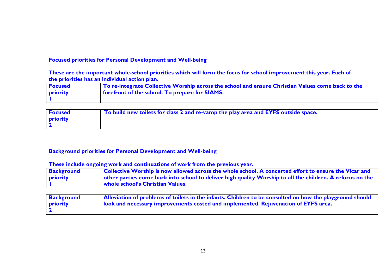#### **Focused priorities for Personal Development and Well-being**

**These are the important whole-school priorities which will form the focus for school improvement this year. Each of the priorities has an individual action plan.**

| <b>Focused</b> | To re-integrate Collective Worship across the school and ensure Christian Values come back to the |
|----------------|---------------------------------------------------------------------------------------------------|
| priority       | forefront of the school. To prepare for SIAMS.                                                    |
|                |                                                                                                   |

| <b>Focused</b>  | $\top$ To build new toilets for class 2 and re-vamp the play area and EYFS outside space. |
|-----------------|-------------------------------------------------------------------------------------------|
| <b>priority</b> |                                                                                           |
|                 |                                                                                           |

#### **Background priorities for Personal Development and Well-being**

| <b>Background</b> | Collective Worship is now allowed across the whole school. A concerted effort to ensure the Vicar and     |
|-------------------|-----------------------------------------------------------------------------------------------------------|
| <b>priority</b>   | other parties come back into school to deliver high quality Worship to all the children. A refocus on the |
|                   | whole school's Christian Values.                                                                          |

| <b>Background</b> | Alleviation of problems of toilets in the infants. Children to be consulted on how the playground should |
|-------------------|----------------------------------------------------------------------------------------------------------|
| <b>priority</b>   | look and necessary improvements costed and implemented. Rejuvenation of EYFS area.                       |
|                   |                                                                                                          |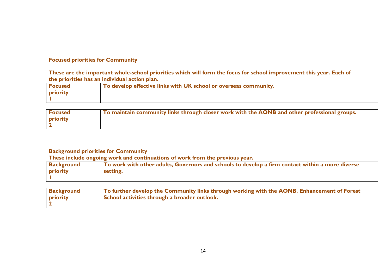#### **Focused priorities for Community**

**These are the important whole-school priorities which will form the focus for school improvement this year. Each of the priorities has an individual action plan.**

| o develop effective links with UK school or overseas community. |
|-----------------------------------------------------------------|
|                                                                 |
|                                                                 |

| <b>Focused</b> | To maintain community links through closer work with the AONB and other professional groups. |
|----------------|----------------------------------------------------------------------------------------------|
| priority       |                                                                                              |
|                |                                                                                              |

#### **Background priorities for Community**

| <b>Background</b> | $\mid$ To work with other adults, Governors and schools to develop a firm contact within a more diverse |
|-------------------|---------------------------------------------------------------------------------------------------------|
| priority          | setting.                                                                                                |
|                   |                                                                                                         |

| <b>Background</b> | To further develop the Community links through working with the AONB. Enhancement of Forest |
|-------------------|---------------------------------------------------------------------------------------------|
| priority          | School activities through a broader outlook.                                                |
|                   |                                                                                             |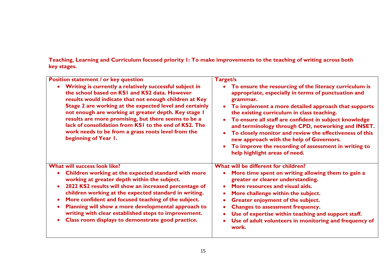**Teaching, Learning and Curriculum focused priority 1: To make improvements to the teaching of writing across both key stages.**

| <b>Position statement / or key question</b>                                                                                                                                                                                                                                                                                                                                                                                                                                         | <b>Target/s</b>                                                                                                                                                                                                                                                                                                                                                                                                                                                                                                                                |
|-------------------------------------------------------------------------------------------------------------------------------------------------------------------------------------------------------------------------------------------------------------------------------------------------------------------------------------------------------------------------------------------------------------------------------------------------------------------------------------|------------------------------------------------------------------------------------------------------------------------------------------------------------------------------------------------------------------------------------------------------------------------------------------------------------------------------------------------------------------------------------------------------------------------------------------------------------------------------------------------------------------------------------------------|
| Writing is currently a relatively successful subject in<br>the school based on KSI and KS2 data. However<br>results would indicate that not enough children at Key<br>Stage 2 are working at the expected level and certainly<br>not enough are working at greater depth. Key stage I<br>results are more promising, but there seems to be a<br>lack of consolidation from KSI to the end of KS2. The<br>work needs to be from a grass roots level from the<br>beginning of Year 1. | To ensure the resourcing of the literacy curriculum is<br>appropriate, especially in terms of punctuation and<br>grammar.<br>To implement a more detailed approach that supports<br>the existing curriculum in class teaching.<br>To ensure all staff are confident in subject knowledge<br>and terminology through CPD, networking and INSET.<br>To closely monitor and review the effectiveness of this<br>new approach with the help of Governors.<br>To improve the recording of assessment in writing to<br>help highlight areas of need. |
| What will success look like?<br>Children working at the expected standard with more<br>working at greater depth within the subject.<br>2022 KS2 results will show an increased percentage of<br>children working at the expected standard in writing.<br>More confident and focused teaching of the subject.<br>Planning will show a more developmental approach to<br>writing with clear established steps to improvement.<br>Class room displays to demonstrate good practice.    | What will be different for children?<br>More time spent on writing allowing them to gain a<br>greater or clearer understanding.<br>More resources and visual aids.<br>More challenge within the subject.<br>Greater enjoyment of the subject.<br><b>Changes to assessment frequency.</b><br>Use of expertise within teaching and support staff.<br>Use of adult volunteers in monitoring and frequency of<br>work.                                                                                                                             |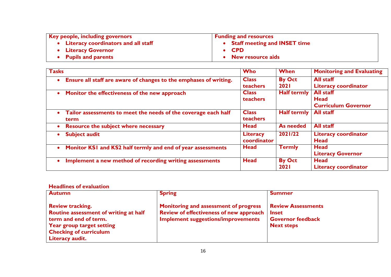| Key people, including governors       | <b>Funding and resources</b>   |
|---------------------------------------|--------------------------------|
| • Literacy coordinators and all staff | • Staff meeting and INSET time |
| • Literacy Governor                   | $\bullet$ CPD                  |
| • Pupils and parents                  | • New resource aids            |

| <b>Tasks</b>                                                                        | Who                            | <b>When</b>                  | <b>Monitoring and Evaluating</b>                              |
|-------------------------------------------------------------------------------------|--------------------------------|------------------------------|---------------------------------------------------------------|
| Ensure all staff are aware of changes to the emphases of writing.<br>$\bullet$      | <b>Class</b><br>teachers       | <b>By Oct</b><br><b>2021</b> | <b>All staff</b><br><b>Literacy coordinator</b>               |
| Monitor the effectiveness of the new approach<br>$\bullet$                          | <b>Class</b><br>teachers       | <b>Half termly</b>           | <b>All staff</b><br><b>Head</b><br><b>Curriculum Governor</b> |
| Tailor assessments to meet the needs of the coverage each half<br>$\bullet$<br>term | <b>Class</b><br>teachers       | Half termly                  | <b>All staff</b>                                              |
| <b>Resource the subject where necessary</b><br>$\bullet$                            | <b>Head</b>                    | <b>As needed</b>             | <b>All staff</b>                                              |
| <b>Subject audit</b><br>$\bullet$                                                   | <b>Literacy</b><br>coordinator | 2021/22                      | <b>Literacy coordinator</b><br><b>Head</b>                    |
| Monitor KS1 and KS2 half termly and end of year assessments<br>$\bullet$            | <b>Head</b>                    | <b>Termly</b>                | Head<br><b>Literacy Governor</b>                              |
| Implement a new method of recording writing assessments<br>$\bullet$                | <b>Head</b>                    | <b>By Oct</b><br><b>2021</b> | <b>Head</b><br><b>Literacy coordinator</b>                    |

#### **Headlines of evaluation**

| <b>Autumn</b>                                                                                                                                                              | <b>Spring</b>                                                                                                                 | <b>Summer</b>                                                                              |
|----------------------------------------------------------------------------------------------------------------------------------------------------------------------------|-------------------------------------------------------------------------------------------------------------------------------|--------------------------------------------------------------------------------------------|
| <b>Review tracking.</b><br>Routine assessment of writing at half<br>term and end of term.<br>Year group target setting<br><b>Checking of curriculum</b><br>Literacy audit. | Monitoring and assessment of progress<br>Review of effectiveness of new approach<br><b>Implement suggestions/improvements</b> | <b>Review Assessments</b><br><b>Inset</b><br><b>Governor feedback</b><br><b>Next steps</b> |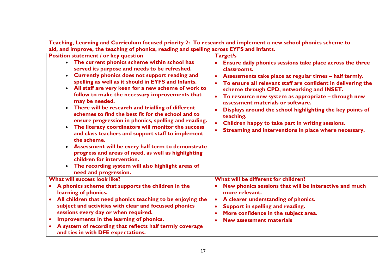**Teaching, Learning and Curriculum focused priority 2: To research and implement a new school phonics scheme to aid, and improve, the teaching of phonics, reading and spelling across EYFS and Infants.**

| <b>Position statement / or key question</b><br>The current phonics scheme within school has<br>$\bullet$<br>served its purpose and needs to be refreshed.<br>Currently phonics does not support reading and<br>$\bullet$<br>spelling as well as it should in EYFS and Infants.<br>All staff are very keen for a new scheme of work to<br>$\bullet$<br>follow to make the necessary improvements that<br>may be needed.<br>• There will be research and trialling of different<br>schemes to find the best fit for the school and to<br>ensure progression in phonics, spelling and reading.<br>The literacy coordinators will monitor the success<br>$\bullet$<br>and class teachers and support staff to implement<br>the scheme.<br>Assessment will be every half term to demonstrate<br>progress and areas of need, as well as highlighting<br>children for intervention.<br>The recording system will also highlight areas of<br>need and progression. | Target/s<br>Ensure daily phonics sessions take place across the three<br>classrooms.<br>Assessments take place at regular times - half termly.<br>$\bullet$<br>To ensure all relevant staff are confident in delivering the<br>$\bullet$<br>scheme through CPD, networking and INSET.<br>To resource new system as appropriate - through new<br>$\bullet$<br>assessment materials or software.<br>Displays around the school highlighting the key points of<br>$\bullet$<br>teaching.<br>Children happy to take part in writing sessions.<br>$\bullet$<br>Streaming and interventions in place where necessary.<br>$\bullet$ |
|------------------------------------------------------------------------------------------------------------------------------------------------------------------------------------------------------------------------------------------------------------------------------------------------------------------------------------------------------------------------------------------------------------------------------------------------------------------------------------------------------------------------------------------------------------------------------------------------------------------------------------------------------------------------------------------------------------------------------------------------------------------------------------------------------------------------------------------------------------------------------------------------------------------------------------------------------------|------------------------------------------------------------------------------------------------------------------------------------------------------------------------------------------------------------------------------------------------------------------------------------------------------------------------------------------------------------------------------------------------------------------------------------------------------------------------------------------------------------------------------------------------------------------------------------------------------------------------------|
| <b>What will success look like?</b>                                                                                                                                                                                                                                                                                                                                                                                                                                                                                                                                                                                                                                                                                                                                                                                                                                                                                                                        | What will be different for children?                                                                                                                                                                                                                                                                                                                                                                                                                                                                                                                                                                                         |
| A phonics scheme that supports the children in the<br>learning of phonics.                                                                                                                                                                                                                                                                                                                                                                                                                                                                                                                                                                                                                                                                                                                                                                                                                                                                                 | New phonics sessions that will be interactive and much<br>$\bullet$<br>more relevant.                                                                                                                                                                                                                                                                                                                                                                                                                                                                                                                                        |
| All children that need phonics teaching to be enjoying the<br>subject and activities with clear and focussed phonics<br>sessions every day or when required.                                                                                                                                                                                                                                                                                                                                                                                                                                                                                                                                                                                                                                                                                                                                                                                               | A clearer understanding of phonics.<br>$\bullet$<br>Support in spelling and reading.<br>$\bullet$<br>More confidence in the subject area.<br>$\bullet$                                                                                                                                                                                                                                                                                                                                                                                                                                                                       |
| Improvements in the learning of phonics.<br>$\bullet$                                                                                                                                                                                                                                                                                                                                                                                                                                                                                                                                                                                                                                                                                                                                                                                                                                                                                                      | <b>New assessment materials</b><br>$\bullet$                                                                                                                                                                                                                                                                                                                                                                                                                                                                                                                                                                                 |
| A system of recording that reflects half termly coverage<br>and ties in with DFE expectations.                                                                                                                                                                                                                                                                                                                                                                                                                                                                                                                                                                                                                                                                                                                                                                                                                                                             |                                                                                                                                                                                                                                                                                                                                                                                                                                                                                                                                                                                                                              |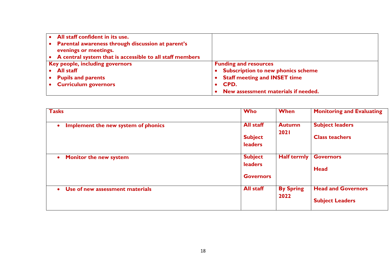| All staff confident in its use.                                            |                                           |
|----------------------------------------------------------------------------|-------------------------------------------|
| Parental awareness through discussion at parent's<br>evenings or meetings. |                                           |
| A central system that is accessible to all staff members                   |                                           |
| Key people, including governors                                            | <b>Funding and resources</b>              |
| <b>All staff</b>                                                           | <b>Subscription to new phonics scheme</b> |
| <b>Pupils and parents</b>                                                  | <b>Staff meeting and INSET time</b>       |
| <b>Curriculum governors</b>                                                | CPD.                                      |
|                                                                            | New assessment materials if needed.       |

| <b>Tasks</b>                                     | <b>Who</b>                                           | When                         | <b>Monitoring and Evaluating</b>                    |
|--------------------------------------------------|------------------------------------------------------|------------------------------|-----------------------------------------------------|
| Implement the new system of phonics<br>$\bullet$ | <b>All staff</b><br><b>Subject</b><br><b>leaders</b> | <b>Autumn</b><br><b>2021</b> | <b>Subject leaders</b><br><b>Class teachers</b>     |
| <b>Monitor the new system</b><br>$\bullet$       | <b>Subject</b><br><b>leaders</b><br><b>Governors</b> | Half termly                  | <b>Governors</b><br><b>Head</b>                     |
| Use of new assessment materials<br>$\bullet$     | <b>All staff</b>                                     | <b>By Spring</b><br>2022     | <b>Head and Governors</b><br><b>Subject Leaders</b> |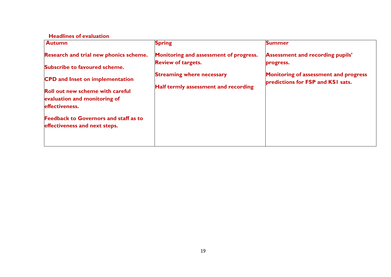#### **Headlines of evaluation**

| <b>Autumn</b>                                  | <b>Spring</b>                                                       | <b>Summer</b>                                                              |
|------------------------------------------------|---------------------------------------------------------------------|----------------------------------------------------------------------------|
| Research and trial new phonics scheme.         | Monitoring and assessment of progress.<br><b>Review of targets.</b> | <b>Assessment and recording pupils'</b><br>progress.                       |
| Subscribe to favoured scheme.                  |                                                                     |                                                                            |
| <b>CPD</b> and Inset on implementation         | <b>Streaming where necessary</b>                                    | Monitoring of assessment and progress<br>predictions for FSP and KSI sats. |
| <b>Roll out new scheme with careful</b>        | Half termly assessment and recording                                |                                                                            |
| evaluation and monitoring of<br>effectiveness. |                                                                     |                                                                            |
| <b>Feedback to Governors and staff as to</b>   |                                                                     |                                                                            |
| effectiveness and next steps.                  |                                                                     |                                                                            |
|                                                |                                                                     |                                                                            |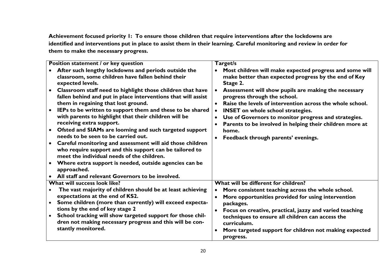**Achievement focused priority 1: To ensure those children that require interventions after the lockdowns are identified and interventions put in place to assist them in their learning. Careful monitoring and review in order for them to make the necessary progress.**

| Position statement / or key question                                                                                                                                                                                                                                                                                                                                                                                                                                                                                                                                                                                                                                                                                                                                                                                                                                                             | Target/s                                                                                                                                                                                                                                                                                                                                                                                                                                                                                                                                                                       |
|--------------------------------------------------------------------------------------------------------------------------------------------------------------------------------------------------------------------------------------------------------------------------------------------------------------------------------------------------------------------------------------------------------------------------------------------------------------------------------------------------------------------------------------------------------------------------------------------------------------------------------------------------------------------------------------------------------------------------------------------------------------------------------------------------------------------------------------------------------------------------------------------------|--------------------------------------------------------------------------------------------------------------------------------------------------------------------------------------------------------------------------------------------------------------------------------------------------------------------------------------------------------------------------------------------------------------------------------------------------------------------------------------------------------------------------------------------------------------------------------|
| After such lengthy lockdowns and periods outside the<br>classroom, some children have fallen behind their<br>expected levels.<br>Classroom staff need to highlight those children that have<br>fallen behind and put in place interventions that will assist<br>them in regaining that lost ground.<br>IEPs to be written to support them and these to be shared<br>$\bullet$<br>with parents to highlight that their children will be<br>receiving extra support.<br>Ofsted and SIAMs are looming and such targeted support<br>needs to be seen to be carried out.<br>Careful monitoring and assessment will aid those children<br>$\bullet$<br>who require support and this support can be tailored to<br>meet the individual needs of the children.<br>Where extra support is needed, outside agencies can be<br>$\bullet$<br>approached.<br>All staff and relevant Governors to be involved. | Most children will make expected progress and some will<br>$\bullet$<br>make better than expected progress by the end of Key<br>Stage 2.<br>Assessment will show pupils are making the necessary<br>$\bullet$<br>progress through the school.<br>Raise the levels of intervention across the whole school.<br>$\bullet$<br><b>INSET</b> on whole school strategies.<br>$\bullet$<br>Use of Governors to monitor progress and strategies.<br>$\bullet$<br>Parents to be involved in helping their children more at<br>home.<br>Feedback through parents' evenings.<br>$\bullet$ |
| What will success look like?                                                                                                                                                                                                                                                                                                                                                                                                                                                                                                                                                                                                                                                                                                                                                                                                                                                                     | What will be different for children?                                                                                                                                                                                                                                                                                                                                                                                                                                                                                                                                           |
| The vast majority of children should be at least achieving<br>expectations at the end of KS2.<br>Some children (more than currently) will exceed expecta-<br>tions by the end of key stage 2<br>School tracking will show targeted support for those chil-<br>$\bullet$<br>dren not making necessary progress and this will be con-<br>stantly monitored.                                                                                                                                                                                                                                                                                                                                                                                                                                                                                                                                        | More consistent teaching across the whole school.<br>$\bullet$<br>More opportunities provided for using intervention<br>$\bullet$<br>packages.<br>Focus on creative, practical, jazzy and varied teaching<br>$\bullet$<br>techniques to ensure all children can access the<br>curriculum.<br>More targeted support for children not making expected<br>$\bullet$<br>progress.                                                                                                                                                                                                  |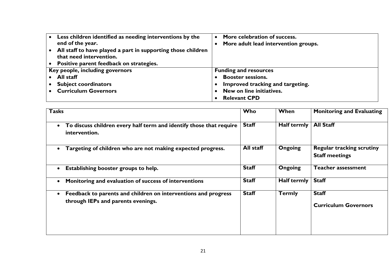| Less children identified as needing interventions by the     | More celebration of success.         |
|--------------------------------------------------------------|--------------------------------------|
| end of the year.                                             | More adult lead intervention groups. |
| All staff to have played a part in supporting those children |                                      |
| that need intervention.                                      |                                      |
| • Positive parent feedback on strategies.                    |                                      |
| Key people, including governors                              | <b>Funding and resources</b>         |
| All staff                                                    | <b>Booster sessions.</b>             |
| <b>Subject coordinators</b>                                  | Improved tracking and targeting.     |
| <b>Curriculum Governors</b>                                  | New on line initiatives.             |
|                                                              | <b>Relevant CPD</b>                  |

| <b>Tasks</b>                                                                                         | Who          | When               | <b>Monitoring and Evaluating</b>                          |
|------------------------------------------------------------------------------------------------------|--------------|--------------------|-----------------------------------------------------------|
| To discuss children every half term and identify those that require<br>$\bullet$<br>intervention.    | <b>Staff</b> | <b>Half termly</b> | <b>All Staff</b>                                          |
| Targeting of children who are not making expected progress.                                          | All staff    | <b>Ongoing</b>     | <b>Regular tracking scrutiny</b><br><b>Staff meetings</b> |
| Establishing booster groups to help.                                                                 | <b>Staff</b> | Ongoing            | <b>Teacher assessment</b>                                 |
| Monitoring and evaluation of success of interventions                                                | <b>Staff</b> | <b>Half termly</b> | <b>Staff</b>                                              |
| Feedback to parents and children on interventions and progress<br>through IEPs and parents evenings. | <b>Staff</b> | <b>Termly</b>      | <b>Staff</b><br><b>Curriculum Governors</b>               |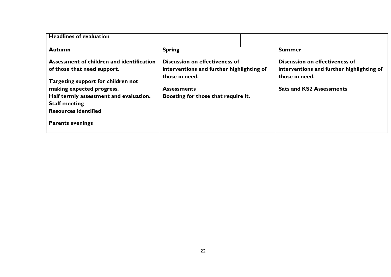| <b>Headlines of evaluation</b>                                                                                                                                                                                                               |                                                                                                                                                                   |  |                |                                                                                                                       |
|----------------------------------------------------------------------------------------------------------------------------------------------------------------------------------------------------------------------------------------------|-------------------------------------------------------------------------------------------------------------------------------------------------------------------|--|----------------|-----------------------------------------------------------------------------------------------------------------------|
| <b>Autumn</b>                                                                                                                                                                                                                                | <b>Spring</b>                                                                                                                                                     |  | <b>Summer</b>  |                                                                                                                       |
| Assessment of children and identification<br>of those that need support.<br>Targeting support for children not<br>making expected progress.<br>Half termly assessment and evaluation.<br><b>Staff meeting</b><br><b>Resources identified</b> | <b>Discussion on effectiveness of</b><br>interventions and further highlighting of<br>those in need.<br><b>Assessments</b><br>Boosting for those that require it. |  | those in need. | <b>Discussion on effectiveness of</b><br>interventions and further highlighting of<br><b>Sats and KS2 Assessments</b> |
| <b>Parents evenings</b>                                                                                                                                                                                                                      |                                                                                                                                                                   |  |                |                                                                                                                       |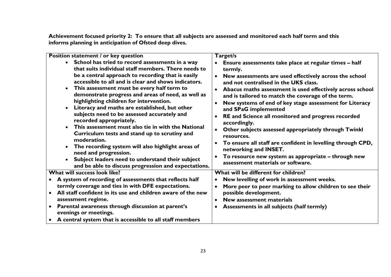**Achievement focused priority 2: To ensure that all subjects are assessed and monitored each half term and this informs planning in anticipation of Ofsted deep dives.**

| Position statement / or key question                                                                                                                                                                                                                                                                                                                                                                                                                                                                                                                                                                                                                                                                                                                                                                          | Target/s                                                                                                                                                                                                                                                                                                                                                                                                                                                                                                                                                                                                                                                                                                                                         |
|---------------------------------------------------------------------------------------------------------------------------------------------------------------------------------------------------------------------------------------------------------------------------------------------------------------------------------------------------------------------------------------------------------------------------------------------------------------------------------------------------------------------------------------------------------------------------------------------------------------------------------------------------------------------------------------------------------------------------------------------------------------------------------------------------------------|--------------------------------------------------------------------------------------------------------------------------------------------------------------------------------------------------------------------------------------------------------------------------------------------------------------------------------------------------------------------------------------------------------------------------------------------------------------------------------------------------------------------------------------------------------------------------------------------------------------------------------------------------------------------------------------------------------------------------------------------------|
| School has tried to record assessments in a way<br>that suits individual staff members. There needs to<br>be a central approach to recording that is easily<br>accessible to all and is clear and shows indicators.<br>This assessment must be every half term to<br>demonstrate progress and areas of need, as well as<br>highlighting children for intervention.<br>Literacy and maths are established, but other<br>subjects need to be assessed accurately and<br>recorded appropriately.<br>This assessment must also tie in with the National<br>Curriculum tests and stand up to scrutiny and<br>moderation.<br>The recording system will also highlight areas of<br>need and progression.<br>Subject leaders need to understand their subject<br>and be able to discuss progression and expectations. | Ensure assessments take place at regular times - half<br>termly.<br>New assessments are used effectively across the school<br>$\bullet$<br>and not centralised in the UKS class.<br>Abacus maths assessment is used effectively across school<br>$\bullet$<br>and is tailored to match the coverage of the term.<br>New systems of end of key stage assessment for Literacy<br>$\bullet$<br>and SPaG implemented<br>RE and Science all monitored and progress recorded<br>accordingly.<br>Other subjects assessed appropriately through Twinkl<br>resources.<br>To ensure all staff are confident in levelling through CPD,<br>networking and INSET.<br>To resource new system as appropriate - through new<br>assessment materials or software. |
| What will success look like?                                                                                                                                                                                                                                                                                                                                                                                                                                                                                                                                                                                                                                                                                                                                                                                  | What will be different for children?                                                                                                                                                                                                                                                                                                                                                                                                                                                                                                                                                                                                                                                                                                             |
| A system of recording of assessments that reflects half<br>termly coverage and ties in with DFE expectations.<br>All staff confident in its use and children aware of the new<br>assessment regime.<br>Parental awareness through discussion at parent's<br>$\bullet$<br>evenings or meetings.                                                                                                                                                                                                                                                                                                                                                                                                                                                                                                                | New levelling of work in assessment weeks.<br>More peer to peer marking to allow children to see their<br>$\bullet$<br>possible development.<br>New assessment materials<br>$\bullet$<br>Assessments in all subjects (half termly)                                                                                                                                                                                                                                                                                                                                                                                                                                                                                                               |
| A central system that is accessible to all staff members                                                                                                                                                                                                                                                                                                                                                                                                                                                                                                                                                                                                                                                                                                                                                      |                                                                                                                                                                                                                                                                                                                                                                                                                                                                                                                                                                                                                                                                                                                                                  |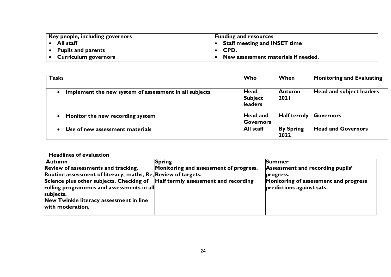| Key people, including governors | <b>Funding and resources</b>           |
|---------------------------------|----------------------------------------|
| All staff                       | $\bullet$ Staff meeting and INSET time |
| <b>Pupils and parents</b>       | $\bullet$ CPD.                         |
| <b>Curriculum governors</b>     | • New assessment materials if needed.  |

| <b>Tasks</b>                                                        | Who                          | When                         | <b>Monitoring and Evaluating</b> |
|---------------------------------------------------------------------|------------------------------|------------------------------|----------------------------------|
| Implement the new system of assessment in all subjects<br>$\bullet$ | Head<br><b>Subject</b>       | <b>Autumn</b><br><b>2021</b> | Head and subject leaders         |
|                                                                     | <b>leaders</b>               |                              |                                  |
| Monitor the new recording system                                    | Head and<br><b>Governors</b> | Half termly $ $              | <b>Governors</b>                 |
| Use of new assessment materials                                     | All staff                    | <b>By Spring</b><br>2022     | <b>Head and Governors</b>        |

| <b>Autumn</b>                                                                                                                            | <b>Spring</b>                          | <b>Summer</b>                                                      |
|------------------------------------------------------------------------------------------------------------------------------------------|----------------------------------------|--------------------------------------------------------------------|
| Review of assessments and tracking.                                                                                                      | Monitoring and assessment of progress. | Assessment and recording pupils'                                   |
| Routine assessment of literacy, maths, Re, Review of targets.                                                                            |                                        | progress.                                                          |
| Science plus other subjects. Checking of  Half termly assessment and recording<br>rolling programmes and assessments in all<br>subjects. |                                        | Monitoring of assessment and progress<br>predictions against sats. |
| New Twinkle literacy assessment in line<br>with moderation.                                                                              |                                        |                                                                    |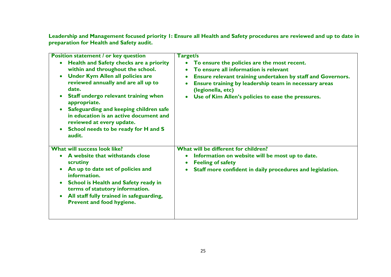**Leadership and Management focused priority 1: Ensure all Health and Safety procedures are reviewed and up to date in preparation for Health and Safety audit.**

| <b>Position statement / or key question</b><br>Health and Safety checks are a priority<br>within and throughout the school.<br><b>Under Kym Allen all policies are</b><br>$\bullet$<br>reviewed annually and are all up to<br>date.<br>Staff undergo relevant training when<br>appropriate.<br>Safeguarding and keeping children safe<br>in education is an active document and<br>reviewed at every update.<br>School needs to be ready for H and S<br>audit. | <b>Target/s</b><br>To ensure the policies are the most recent.<br>To ensure all information is relevant<br>Ensure relevant training undertaken by staff and Governors.<br>Ensure training by leadership team in necessary areas<br>$\bullet$<br>(legionella, etc)<br>Use of Kim Allen's policies to ease the pressures.<br>$\bullet$ |
|----------------------------------------------------------------------------------------------------------------------------------------------------------------------------------------------------------------------------------------------------------------------------------------------------------------------------------------------------------------------------------------------------------------------------------------------------------------|--------------------------------------------------------------------------------------------------------------------------------------------------------------------------------------------------------------------------------------------------------------------------------------------------------------------------------------|
| What will success look like?<br>A website that withstands close<br>scrutiny<br>An up to date set of policies and<br>information.<br><b>School is Health and Safety ready in</b><br>$\bullet$<br>terms of statutory information.<br>All staff fully trained in safeguarding,<br>Prevent and food hygiene.                                                                                                                                                       | What will be different for children?<br>Information on website will be most up to date.<br>$\bullet$<br><b>Feeling of safety</b><br>$\bullet$<br>Staff more confident in daily procedures and legislation.<br>$\bullet$                                                                                                              |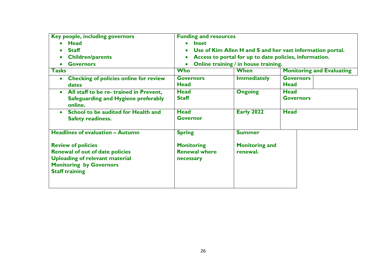| Key people, including governors                                                                                                                | <b>Funding and resources</b>                                           |                                      |                                  |  |
|------------------------------------------------------------------------------------------------------------------------------------------------|------------------------------------------------------------------------|--------------------------------------|----------------------------------|--|
| <b>Head</b>                                                                                                                                    | <b>Inset</b><br>$\bullet$                                              |                                      |                                  |  |
| <b>Staff</b>                                                                                                                                   | Use of Kim Allen H and S and her vast information portal.<br>$\bullet$ |                                      |                                  |  |
| <b>Children/parents</b>                                                                                                                        | Access to portal for up to date policies, information.<br>$\bullet$    |                                      |                                  |  |
| <b>Governors</b>                                                                                                                               |                                                                        | Online training / in house training. |                                  |  |
| <b>Tasks</b>                                                                                                                                   | <b>Who</b>                                                             | When                                 | <b>Monitoring and Evaluating</b> |  |
| <b>Checking of policies online for review</b>                                                                                                  | <b>Governors</b>                                                       | <b>Immediately</b>                   | <b>Governors</b>                 |  |
| dates                                                                                                                                          | <b>Head</b>                                                            |                                      | <b>Head</b>                      |  |
| All staff to be re- trained in Prevent,<br>$\bullet$                                                                                           | <b>Head</b>                                                            | <b>Ongoing</b>                       | <b>Head</b>                      |  |
| Safeguarding and Hygiene preferably<br>online.                                                                                                 | <b>Staff</b>                                                           |                                      | <b>Governors</b>                 |  |
| School to be audited for Health and                                                                                                            | <b>Head</b>                                                            | <b>Early 2022</b>                    | <b>Head</b>                      |  |
| <b>Safety readiness.</b>                                                                                                                       | <b>Governor</b>                                                        |                                      |                                  |  |
| <b>Headlines of evaluation - Autumn</b>                                                                                                        | <b>Spring</b>                                                          | <b>Summer</b>                        |                                  |  |
| <b>Review of policies</b><br><b>Renewal of out of date policies</b><br><b>Uploading of relevant material</b><br><b>Monitoring by Governors</b> | <b>Monitoring</b><br><b>Renewal where</b><br>necessary                 | <b>Monitoring and</b><br>renewal.    |                                  |  |
| <b>Staff training</b>                                                                                                                          |                                                                        |                                      |                                  |  |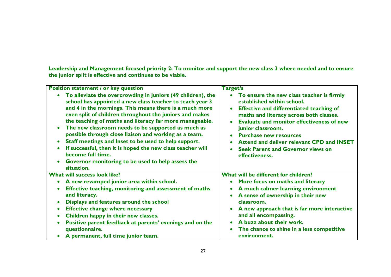**Leadership and Management focused priority 2: To monitor and support the new class 3 where needed and to ensure the junior split is effective and continues to be viable.**

| <b>Position statement / or key question</b>                                                                                                                                                                                                                                                                                                                                                                                                                                                                                                                                                                                          | Target/s                                                                                                                                                                                                                                                                                                                                                                                   |
|--------------------------------------------------------------------------------------------------------------------------------------------------------------------------------------------------------------------------------------------------------------------------------------------------------------------------------------------------------------------------------------------------------------------------------------------------------------------------------------------------------------------------------------------------------------------------------------------------------------------------------------|--------------------------------------------------------------------------------------------------------------------------------------------------------------------------------------------------------------------------------------------------------------------------------------------------------------------------------------------------------------------------------------------|
| To alleviate the overcrowding in juniors (49 children), the<br>school has appointed a new class teacher to teach year 3<br>and 4 in the mornings. This means there is a much more<br>even split of children throughout the juniors and makes<br>the teaching of maths and literacy far more manageable.<br>The new classroom needs to be supported as much as<br>possible through close liaison and working as a team.<br>Staff meetings and Inset to be used to help support.<br>If successful, then it is hoped the new class teacher will<br>become full time.<br>Governor monitoring to be used to help assess the<br>situation. | To ensure the new class teacher is firmly<br>established within school.<br><b>Effective and differentiated teaching of</b><br>maths and literacy across both classes.<br><b>Evaluate and monitor effectiveness of new</b><br>junior classroom.<br><b>Purchase new resources</b><br>Attend and deliver relevant CPD and INSET<br><b>Seek Parent and Governor views on</b><br>effectiveness. |
| <b>What will success look like?</b>                                                                                                                                                                                                                                                                                                                                                                                                                                                                                                                                                                                                  | What will be different for children?                                                                                                                                                                                                                                                                                                                                                       |
| A new revamped junior area within school.                                                                                                                                                                                                                                                                                                                                                                                                                                                                                                                                                                                            | More focus on maths and literacy                                                                                                                                                                                                                                                                                                                                                           |
| Effective teaching, monitoring and assessment of maths                                                                                                                                                                                                                                                                                                                                                                                                                                                                                                                                                                               | A much calmer learning environment                                                                                                                                                                                                                                                                                                                                                         |
| and literacy.                                                                                                                                                                                                                                                                                                                                                                                                                                                                                                                                                                                                                        | A sense of ownership in their new                                                                                                                                                                                                                                                                                                                                                          |
| Displays and features around the school                                                                                                                                                                                                                                                                                                                                                                                                                                                                                                                                                                                              | classroom.                                                                                                                                                                                                                                                                                                                                                                                 |
| <b>Effective change where necessary</b>                                                                                                                                                                                                                                                                                                                                                                                                                                                                                                                                                                                              | A new approach that is far more interactive                                                                                                                                                                                                                                                                                                                                                |
| Children happy in their new classes.                                                                                                                                                                                                                                                                                                                                                                                                                                                                                                                                                                                                 | and all encompassing.                                                                                                                                                                                                                                                                                                                                                                      |
| Positive parent feedback at parents' evenings and on the                                                                                                                                                                                                                                                                                                                                                                                                                                                                                                                                                                             | A buzz about their work.                                                                                                                                                                                                                                                                                                                                                                   |
| questionnaire.                                                                                                                                                                                                                                                                                                                                                                                                                                                                                                                                                                                                                       | The chance to shine in a less competitive                                                                                                                                                                                                                                                                                                                                                  |
| A permanent, full time junior team.                                                                                                                                                                                                                                                                                                                                                                                                                                                                                                                                                                                                  | environment.                                                                                                                                                                                                                                                                                                                                                                               |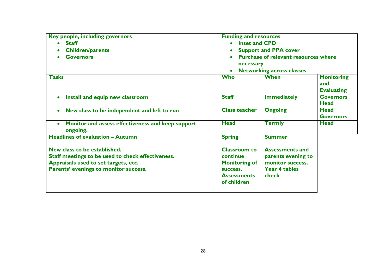| Key people, including governors                                                                                                                                    | <b>Funding and resources</b>                                                                             |                                                                                                   |                                               |
|--------------------------------------------------------------------------------------------------------------------------------------------------------------------|----------------------------------------------------------------------------------------------------------|---------------------------------------------------------------------------------------------------|-----------------------------------------------|
| <b>Staff</b>                                                                                                                                                       | <b>Inset and CPD</b>                                                                                     |                                                                                                   |                                               |
| <b>Children/parents</b>                                                                                                                                            | <b>Support and PPA cover</b>                                                                             |                                                                                                   |                                               |
| <b>Governors</b>                                                                                                                                                   | <b>Purchase of relevant resources where</b><br>necessary<br><b>Networking across classes</b>             |                                                                                                   |                                               |
| <b>Tasks</b>                                                                                                                                                       | <b>Who</b>                                                                                               | <b>When</b>                                                                                       | <b>Monitoring</b><br>and<br><b>Evaluating</b> |
| Install and equip new classroom<br>$\bullet$                                                                                                                       | <b>Staff</b>                                                                                             | <b>Immediately</b>                                                                                | <b>Governors</b><br><b>Head</b>               |
| New class to be independent and left to run<br>$\bullet$                                                                                                           | <b>Class teacher</b>                                                                                     | <b>Ongoing</b>                                                                                    | <b>Head</b><br><b>Governors</b>               |
| Monitor and assess effectiveness and keep support<br>$\bullet$<br>ongoing.                                                                                         | <b>Head</b>                                                                                              | <b>Termly</b>                                                                                     | Head                                          |
| <b>Headlines of evaluation - Autumn</b>                                                                                                                            | <b>Spring</b>                                                                                            | <b>Summer</b>                                                                                     |                                               |
| New class to be established.<br>Staff meetings to be used to check effectiveness.<br>Appraisals used to set targets, etc.<br>Parents' evenings to monitor success. | <b>Classroom to</b><br>continue<br><b>Monitoring of</b><br>success.<br><b>Assessments</b><br>of children | <b>Assessments and</b><br>parents evening to<br>monitor success.<br><b>Year 4 tables</b><br>check |                                               |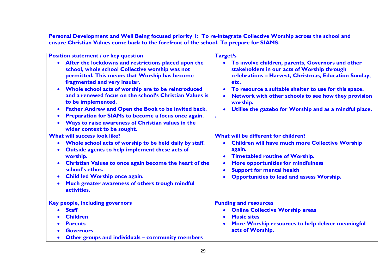**Personal Development and Well Being focused priority 1: To re-integrate Collective Worship across the school and ensure Christian Values come back to the forefront of the school. To prepare for SIAMS.**

| <b>Position statement / or key question</b>                                                                                                                                                                                                                                                                                                                                                                                                                                                                                                                                | <b>Target/s</b>                                                                                                                                                                                                                                                                                                                                                      |
|----------------------------------------------------------------------------------------------------------------------------------------------------------------------------------------------------------------------------------------------------------------------------------------------------------------------------------------------------------------------------------------------------------------------------------------------------------------------------------------------------------------------------------------------------------------------------|----------------------------------------------------------------------------------------------------------------------------------------------------------------------------------------------------------------------------------------------------------------------------------------------------------------------------------------------------------------------|
| After the lockdowns and restrictions placed upon the<br>school, whole school Collective worship was not<br>permitted. This means that Worship has become<br>fragmented and very insular.<br>Whole school acts of worship are to be reintroduced<br>and a renewed focus on the school's Christian Values is<br>to be implemented.<br>Father Andrew and Open the Book to be invited back.<br>$\bullet$<br>Preparation for SIAMs to become a focus once again.<br>$\bullet$<br>Ways to raise awareness of Christian values in the<br>$\bullet$<br>wider context to be sought. | To involve children, parents, Governors and other<br>$\bullet$<br>stakeholders in our acts of Worship through<br>celebrations - Harvest, Christmas, Education Sunday,<br>etc.<br>To resource a suitable shelter to use for this space.<br>Network with other schools to see how they provision<br>worship.<br>Utilise the gazebo for Worship and as a mindful place. |
| <b>What will success look like?</b>                                                                                                                                                                                                                                                                                                                                                                                                                                                                                                                                        | What will be different for children?                                                                                                                                                                                                                                                                                                                                 |
| Whole school acts of worship to be held daily by staff.<br>$\bullet$<br>Outside agents to help implement these acts of<br>worship.<br>Christian Values to once again become the heart of the<br>$\bullet$<br>school's ethos.<br>Child led Worship once again.<br>$\bullet$<br>Much greater awareness of others trough mindful<br>activities.                                                                                                                                                                                                                               | <b>Children will have much more Collective Worship</b><br>again.<br><b>Timetabled routine of Worship.</b><br><b>More opportunities for mindfulness</b><br><b>Support for mental health</b><br>$\bullet$<br><b>Opportunities to lead and assess Worship.</b>                                                                                                          |
| Key people, including governors                                                                                                                                                                                                                                                                                                                                                                                                                                                                                                                                            | <b>Funding and resources</b>                                                                                                                                                                                                                                                                                                                                         |
| <b>Staff</b>                                                                                                                                                                                                                                                                                                                                                                                                                                                                                                                                                               | <b>Online Collective Worship areas</b><br>$\bullet$                                                                                                                                                                                                                                                                                                                  |
| <b>Children</b>                                                                                                                                                                                                                                                                                                                                                                                                                                                                                                                                                            | <b>Music sites</b>                                                                                                                                                                                                                                                                                                                                                   |
| <b>Parents</b>                                                                                                                                                                                                                                                                                                                                                                                                                                                                                                                                                             | More Worship resources to help deliver meaningful                                                                                                                                                                                                                                                                                                                    |
| <b>Governors</b>                                                                                                                                                                                                                                                                                                                                                                                                                                                                                                                                                           | acts of Worship.                                                                                                                                                                                                                                                                                                                                                     |
| Other groups and individuals - community members                                                                                                                                                                                                                                                                                                                                                                                                                                                                                                                           |                                                                                                                                                                                                                                                                                                                                                                      |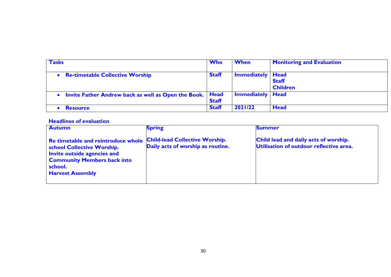| <b>Tasks</b>                                                 | Who          | <b>When</b>               | <b>Monitoring and Evaluation</b> |
|--------------------------------------------------------------|--------------|---------------------------|----------------------------------|
| • Re-timetable Collective Worship                            | <b>Staff</b> | <b>Immediately   Head</b> | <b>Staff</b><br><b>Children</b>  |
| • Invite Father Andrew back as well as Open the Book.   Head | <b>Staff</b> | <b>Immediately   Head</b> |                                  |
| <b>Resource</b>                                              | <b>Staff</b> | 2021/22                   | <b>Head</b>                      |

#### **Headlines of evaluation**

| <b>Autumn</b>                                                                                                                                                                      | <b>Spring</b>                                                              | <b>Summer</b>                                                                    |
|------------------------------------------------------------------------------------------------------------------------------------------------------------------------------------|----------------------------------------------------------------------------|----------------------------------------------------------------------------------|
| Re timetable and reintroduce whole<br><b>School Collective Worship.</b><br>Invite outside agencies and<br><b>Community Members back into</b><br>school.<br><b>Harvest Assembly</b> | <b>Child-lead Collective Worship.</b><br>Daily acts of worship as routine. | Child lead and daily acts of worship.<br>Utilisation of outdoor reflective area. |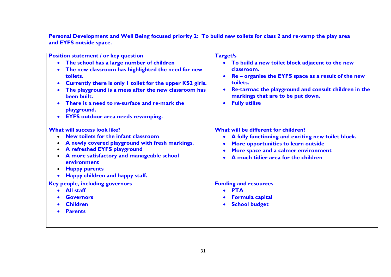**Personal Development and Well Being focused priority 2: To build new toilets for class 2 and re-vamp the play area and EYFS outside space.**

| <b>Position statement / or key question</b>                                                                                                                                                                                                                                                                                                                                                                      | <b>Target/s</b>                                                                                                                                                                                                                                       |
|------------------------------------------------------------------------------------------------------------------------------------------------------------------------------------------------------------------------------------------------------------------------------------------------------------------------------------------------------------------------------------------------------------------|-------------------------------------------------------------------------------------------------------------------------------------------------------------------------------------------------------------------------------------------------------|
| The school has a large number of children<br>$\bullet$<br>The new classroom has highlighted the need for new<br>toilets.<br>Currently there is only I toilet for the upper KS2 girls.<br>$\bullet$<br>The playground is a mess after the new classroom has<br>been built.<br>There is a need to re-surface and re-mark the<br>$\bullet$<br>playground.<br><b>EYFS outdoor area needs revamping.</b><br>$\bullet$ | To build a new toilet block adjacent to the new<br>classroom.<br>Re – organise the EYFS space as a result of the new<br>toilets.<br>Re-tarmac the playground and consult children in the<br>markings that are to be put down.<br><b>Fully utilise</b> |
| <b>What will success look like?</b><br>New toilets for the infant classroom<br>A newly covered playground with fresh markings.<br>A refreshed EYFS playground<br>A more satisfactory and manageable school<br>٠<br>environment<br><b>Happy parents</b><br>$\bullet$<br>Happy children and happy staff.                                                                                                           | What will be different for children?<br>A fully functioning and exciting new toilet block.<br>More opportunities to learn outside<br>More space and a calmer environment<br>A much tidier area for the children                                       |
| Key people, including governors<br>• All staff<br><b>Governors</b><br><b>Children</b><br><b>Parents</b>                                                                                                                                                                                                                                                                                                          | <b>Funding and resources</b><br><b>PTA</b><br><b>Formula capital</b><br><b>School budget</b>                                                                                                                                                          |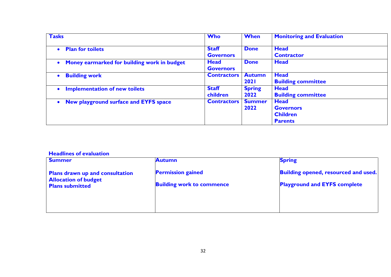| <b>Tasks</b>                                             | <b>Who</b>                      | <b>When</b>   | <b>Monitoring and Evaluation</b> |
|----------------------------------------------------------|---------------------------------|---------------|----------------------------------|
| <b>Plan for toilets</b><br>$\bullet$                     | <b>Staff</b>                    | <b>Done</b>   | <b>Head</b>                      |
|                                                          | <b>Governors</b>                |               | <b>Contractor</b>                |
| Money earmarked for building work in budget<br>$\bullet$ | <b>Head</b><br><b>Governors</b> | <b>Done</b>   | <b>Head</b>                      |
| <b>Building work</b><br>$\bullet$                        | <b>Contractors</b>              | <b>Autumn</b> | <b>Head</b>                      |
|                                                          |                                 | 2021          | <b>Building committee</b>        |
| <b>Implementation of new toilets</b><br>$\bullet$        | <b>Staff</b>                    | <b>Spring</b> | <b>Head</b>                      |
|                                                          | children                        | 2022          | <b>Building committee</b>        |
| New playground surface and EYFS space<br>$\bullet$       | <b>Contractors</b>              | <b>Summer</b> | <b>Head</b>                      |
|                                                          |                                 | 2022          | <b>Governors</b>                 |
|                                                          |                                 |               | <b>Children</b>                  |
|                                                          |                                 |               | <b>Parents</b>                   |

#### **Headlines of evaluation**

| <b>Summer</b>                                                                            | <b>Autumn</b>                                                | <b>Spring</b>                                                                      |
|------------------------------------------------------------------------------------------|--------------------------------------------------------------|------------------------------------------------------------------------------------|
| Plans drawn up and consultation<br><b>Allocation of budget</b><br><b>Plans submitted</b> | <b>Permission gained</b><br><b>Building work to commence</b> | <b>Building opened, resourced and used.</b><br><b>Playground and EYFS complete</b> |
|                                                                                          |                                                              |                                                                                    |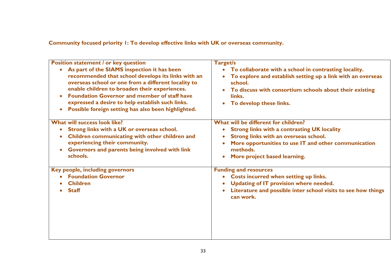**Community focused priority 1: To develop effective links with UK or overseas community.**

| <b>Position statement / or key question</b>                                                                                                                                                                                                                                                                                                                                              | Target/s                                                                                                                                                                                                                                     |
|------------------------------------------------------------------------------------------------------------------------------------------------------------------------------------------------------------------------------------------------------------------------------------------------------------------------------------------------------------------------------------------|----------------------------------------------------------------------------------------------------------------------------------------------------------------------------------------------------------------------------------------------|
| As part of the SIAMS inspection it has been<br>recommended that school develops its links with an<br>overseas school or one from a different locality to<br>enable children to broaden their experiences.<br><b>Foundation Governor and member of staff have</b><br>expressed a desire to help establish such links.<br>Possible foreign setting has also been highlighted.<br>$\bullet$ | To collaborate with a school in contrasting locality.<br>To explore and establish setting up a link with an overseas<br>school.<br>To discuss with consortium schools about their existing<br>links.<br>To develop these links.<br>$\bullet$ |
| <b>What will success look like?</b>                                                                                                                                                                                                                                                                                                                                                      | What will be different for children?                                                                                                                                                                                                         |
| Strong links with a UK or overseas school.<br>$\bullet$                                                                                                                                                                                                                                                                                                                                  | <b>Strong links with a contrasting UK locality</b>                                                                                                                                                                                           |
| Children communicating with other children and<br>۰                                                                                                                                                                                                                                                                                                                                      | Strong links with an overseas school.<br>$\bullet$                                                                                                                                                                                           |
| experiencing their community.                                                                                                                                                                                                                                                                                                                                                            | More opportunities to use IT and other communication                                                                                                                                                                                         |
| Governors and parents being involved with link                                                                                                                                                                                                                                                                                                                                           | methods.                                                                                                                                                                                                                                     |
| schools.                                                                                                                                                                                                                                                                                                                                                                                 | More project based learning.<br>$\bullet$                                                                                                                                                                                                    |
| Key people, including governors                                                                                                                                                                                                                                                                                                                                                          | <b>Funding and resources</b>                                                                                                                                                                                                                 |
| <b>Foundation Governor</b>                                                                                                                                                                                                                                                                                                                                                               | <b>Costs incurred when setting up links.</b><br>$\bullet$                                                                                                                                                                                    |
| <b>Children</b>                                                                                                                                                                                                                                                                                                                                                                          | Updating of IT provision where needed.                                                                                                                                                                                                       |
| <b>Staff</b>                                                                                                                                                                                                                                                                                                                                                                             | Literature and possible inter school visits to see how things<br>$\bullet$<br>can work.                                                                                                                                                      |
|                                                                                                                                                                                                                                                                                                                                                                                          |                                                                                                                                                                                                                                              |
|                                                                                                                                                                                                                                                                                                                                                                                          |                                                                                                                                                                                                                                              |
|                                                                                                                                                                                                                                                                                                                                                                                          |                                                                                                                                                                                                                                              |
|                                                                                                                                                                                                                                                                                                                                                                                          |                                                                                                                                                                                                                                              |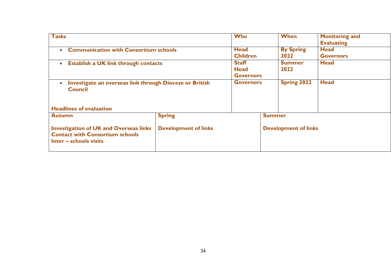| <b>Tasks</b>                                                                                                      |                             | <b>Who</b>       |               | <b>When</b>                 | <b>Monitoring and</b><br><b>Evaluating</b> |
|-------------------------------------------------------------------------------------------------------------------|-----------------------------|------------------|---------------|-----------------------------|--------------------------------------------|
| <b>Communication with Consortium schools</b><br>$\bullet$                                                         |                             | <b>Head</b>      |               | <b>By Spring</b>            | <b>Head</b>                                |
|                                                                                                                   |                             | <b>Children</b>  |               | 2022                        | <b>Governors</b>                           |
| <b>Establish a UK link through contacts</b><br>$\bullet$                                                          |                             | <b>Staff</b>     |               | <b>Summer</b>               | <b>Head</b>                                |
|                                                                                                                   |                             | <b>Head</b>      |               | 2022                        |                                            |
|                                                                                                                   |                             | <b>Governors</b> |               |                             |                                            |
| Investigate an overseas link through Diocese or British<br>$\bullet$<br><b>Council</b>                            |                             | <b>Governors</b> |               | <b>Spring 2022</b>          | <b>Head</b>                                |
| <b>Headlines of evaluation</b>                                                                                    |                             |                  |               |                             |                                            |
| <b>Autumn</b>                                                                                                     | <b>Spring</b>               |                  | <b>Summer</b> |                             |                                            |
| <b>Investigation of UK and Overseas links</b><br><b>Contact with Consortium schools</b><br>Inter - schools visits | <b>Development of links</b> |                  |               | <b>Development of links</b> |                                            |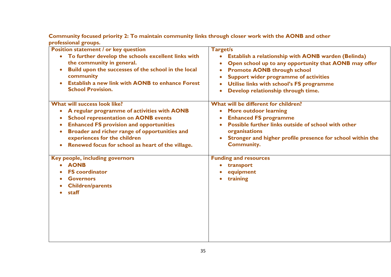**Community focused priority 2: To maintain community links through closer work with the AONB and other professional groups.**

| <b>Position statement / or key question</b><br>To further develop the schools excellent links with<br>$\bullet$<br>the community in general.<br>Build upon the successes of the school in the local<br>community<br><b>Establish a new link with AONB to enhance Forest</b><br><b>School Provision.</b>                                      | Target/s<br>Establish a relationship with AONB warden (Belinda)<br>$\bullet$<br>Open school up to any opportunity that AONB may offer<br><b>Promote AONB through school</b><br>Support wider programme of activities<br>Utilise links with school's FS programme<br>Develop relationship through time. |
|----------------------------------------------------------------------------------------------------------------------------------------------------------------------------------------------------------------------------------------------------------------------------------------------------------------------------------------------|--------------------------------------------------------------------------------------------------------------------------------------------------------------------------------------------------------------------------------------------------------------------------------------------------------|
| What will success look like?<br>A regular programme of activities with AONB<br>$\bullet$<br><b>School representation on AONB events</b><br><b>Enhanced FS provision and opportunities</b><br>$\bullet$<br>Broader and richer range of opportunities and<br>experiences for the children<br>Renewed focus for school as heart of the village. | What will be different for children?<br><b>More outdoor learning</b><br>$\bullet$<br><b>Enhanced FS programme</b><br>Possible further links outside of school with other<br>organisations<br>Stronger and higher profile presence for school within the<br><b>Community.</b>                           |
| Key people, including governors<br><b>AONB</b><br><b>FS</b> coordinator<br><b>Governors</b><br><b>Children/parents</b><br>staff                                                                                                                                                                                                              | <b>Funding and resources</b><br>transport<br>equipment<br>training                                                                                                                                                                                                                                     |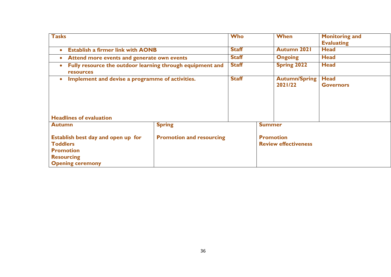| <b>Tasks</b><br><b>Who</b>                                                                                                |                                 |                         |               | <b>When</b>                                     | <b>Monitoring and</b><br><b>Evaluating</b> |
|---------------------------------------------------------------------------------------------------------------------------|---------------------------------|-------------------------|---------------|-------------------------------------------------|--------------------------------------------|
| <b>Establish a firmer link with AONB</b><br>$\bullet$                                                                     |                                 | <b>Staff</b>            |               | <b>Autumn 2021</b>                              | <b>Head</b>                                |
| Attend more events and generate own events<br>$\bullet$                                                                   |                                 | <b>Staff</b>            |               | <b>Ongoing</b>                                  | <b>Head</b>                                |
| Fully resource the outdoor learning through equipment and<br>$\bullet$<br><b>resources</b>                                |                                 | <b>Staff</b>            |               | <b>Spring 2022</b>                              | <b>Head</b>                                |
| Implement and devise a programme of activities.<br>$\bullet$                                                              |                                 | <b>Staff</b><br>2021/22 |               | <b>Autumn/Spring</b>                            | <b>Head</b><br><b>Governors</b>            |
| <b>Headlines of evaluation</b>                                                                                            |                                 |                         |               |                                                 |                                            |
| <b>Autumn</b>                                                                                                             | <b>Spring</b>                   |                         | <b>Summer</b> |                                                 |                                            |
| Establish best day and open up for<br><b>Toddlers</b><br><b>Promotion</b><br><b>Resourcing</b><br><b>Opening ceremony</b> | <b>Promotion and resourcing</b> |                         |               | <b>Promotion</b><br><b>Review effectiveness</b> |                                            |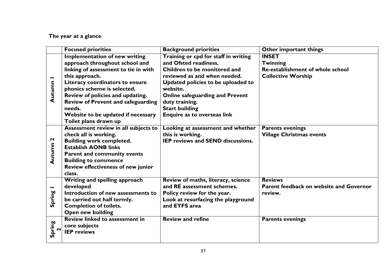#### **The year at a glance**

|                   | <b>Focused priorities</b>                 | <b>Background priorities</b>             | Other important things                  |
|-------------------|-------------------------------------------|------------------------------------------|-----------------------------------------|
|                   | <b>Implementation of new writing</b>      | Training or cpd for staff in writing     | <b>INSET</b>                            |
|                   | approach throughout school and            | and Ofsted readiness.                    | <b>Twinning</b>                         |
|                   | linking of assessment to tie in with      | Children to be monitored and             | Re-establishment of whole school        |
|                   | this approach.                            | reviewed as and when needed.             | <b>Collective Worship</b>               |
|                   | Literacy coordinators to ensure           | Updated policies to be uploaded to       |                                         |
| Autumn            | phonics scheme is selected.               | website.                                 |                                         |
|                   | Review of policies and updating.          | <b>Online safeguarding and Prevent</b>   |                                         |
|                   | Review of Prevent and safeguarding        | duty training.                           |                                         |
|                   | needs.                                    | <b>Start building</b>                    |                                         |
|                   | Website to be updated if necessary        | Enquire as to overseas link              |                                         |
|                   | Toilet plans drawn up                     |                                          |                                         |
|                   | Assessment review in all subjects to      | Looking at assessment and whether        | <b>Parents evenings</b>                 |
|                   | check all is working.                     | this is working.                         | <b>Village Christmas events</b>         |
| $\mathbf{\Omega}$ | <b>Building work completed.</b>           | <b>IEP reviews and SEND discussions.</b> |                                         |
| Autumn            | <b>Establish AONB links</b>               |                                          |                                         |
|                   | <b>Parent and community events</b>        |                                          |                                         |
|                   | <b>Building to commence</b>               |                                          |                                         |
|                   | <b>Review effectiveness of new junior</b> |                                          |                                         |
|                   | class.                                    |                                          |                                         |
|                   | Writing and spelling approach             | Review of maths, literacy, science       | <b>Reviews</b>                          |
|                   | developed                                 | and RE assessment schemes.               | Parent feedback on website and Governor |
| Spring            | Introduction of new assessments to        | Policy review for the year.              | review.                                 |
|                   | be carried out half termly.               | Look at resurfacing the playground       |                                         |
|                   | <b>Completion of toilets.</b>             | and EYFS area                            |                                         |
|                   | <b>Open new building</b>                  |                                          |                                         |
|                   | <b>Review linked to assessment in</b>     | <b>Review and refine</b>                 | <b>Parents evenings</b>                 |
| $\sim$            | core subjects                             |                                          |                                         |
| Spring            | <b>IEP</b> reviews                        |                                          |                                         |
|                   |                                           |                                          |                                         |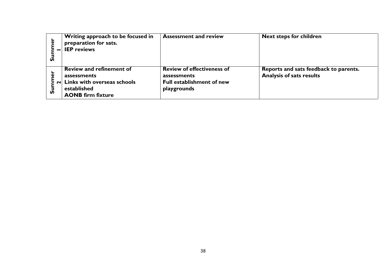| ò<br>n                   | Writing approach to be focused in<br>preparation for sats.<br><b>IEP</b> reviews                                                              | <b>Assessment and review</b>                                                                        | <b>Next steps for children</b>                                           |
|--------------------------|-----------------------------------------------------------------------------------------------------------------------------------------------|-----------------------------------------------------------------------------------------------------|--------------------------------------------------------------------------|
| $\bar{\mathbf{v}}$<br>ທັ | Review and refinement of<br>assessments<br>$\left  \mathbf{z} \right $ Links with overseas schools<br>established<br><b>AONB firm fixture</b> | <b>Review of effectiveness of</b><br>assessments<br><b>Full establishment of new</b><br>playgrounds | Reports and sats feedback to parents.<br><b>Analysis of sats results</b> |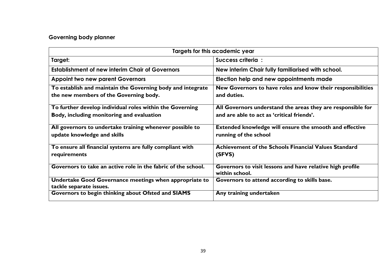#### **Governing body planner**

| Targets for this academic year                                                                        |                                                                                                           |  |  |  |
|-------------------------------------------------------------------------------------------------------|-----------------------------------------------------------------------------------------------------------|--|--|--|
| Target:                                                                                               | Success criteria :                                                                                        |  |  |  |
| <b>Establishment of new interim Chair of Governors</b>                                                | New interim Chair fully familiarised with school.                                                         |  |  |  |
| <b>Appoint two new parent Governors</b>                                                               | Election help and new appointments made                                                                   |  |  |  |
| To establish and maintain the Governing body and integrate<br>the new members of the Governing body.  | New Governors to have roles and know their responsibilities<br>and duties.                                |  |  |  |
| To further develop individual roles within the Governing<br>Body, including monitoring and evaluation | All Governors understand the areas they are responsible for<br>and are able to act as 'critical friends'. |  |  |  |
| All governors to undertake training whenever possible to<br>update knowledge and skills               | Extended knowledge will ensure the smooth and effective<br>running of the school                          |  |  |  |
| To ensure all financial systems are fully compliant with<br>requirements                              | Achievement of the Schools Financial Values Standard<br>(SFVS)                                            |  |  |  |
| Governors to take an active role in the fabric of the school.                                         | Governors to visit lessons and have relative high profile<br>within school.                               |  |  |  |
| Undertake Good Governance meetings when appropriate to<br>tackle separate issues.                     | Governors to attend according to skills base.                                                             |  |  |  |
| Governors to begin thinking about Ofsted and SIAMS                                                    | Any training undertaken                                                                                   |  |  |  |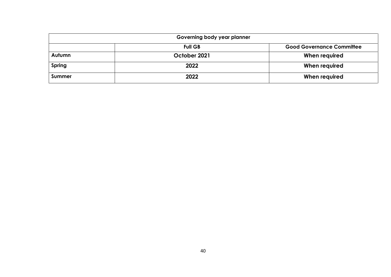| Governing body year planner                        |              |               |  |  |
|----------------------------------------------------|--------------|---------------|--|--|
| <b>Full GB</b><br><b>Good Governance Committee</b> |              |               |  |  |
| Autumn                                             | October 2021 | When required |  |  |
| <b>Spring</b>                                      | 2022         | When required |  |  |
| <b>Summer</b>                                      | 2022         | When required |  |  |